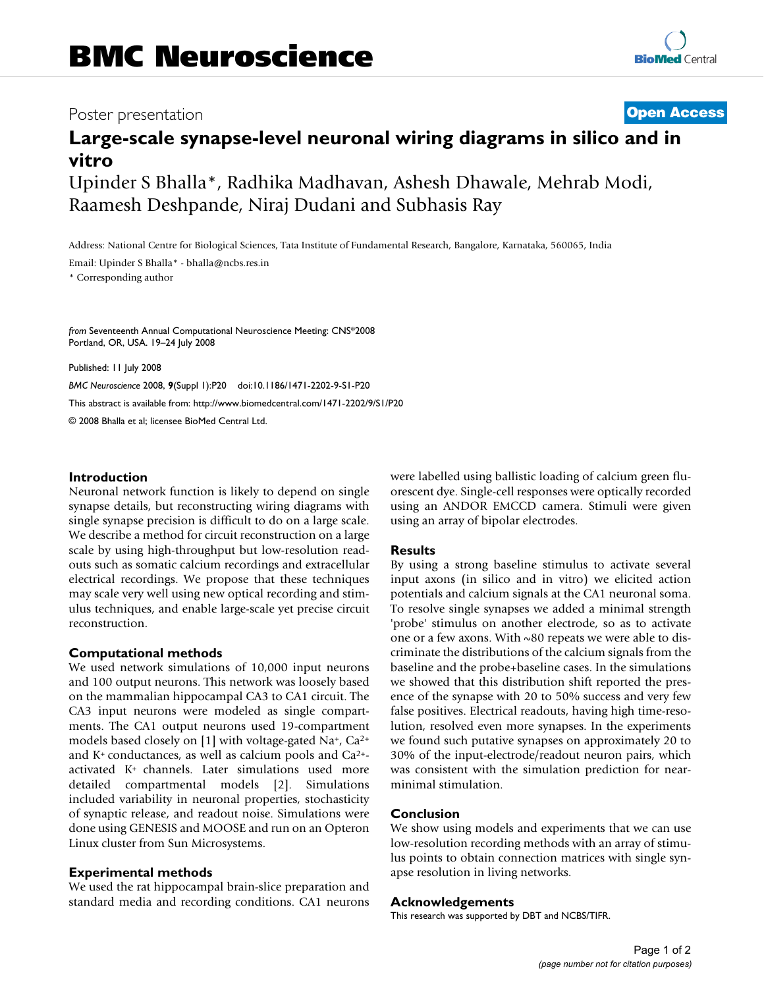## **Poster presentation [Open Access](http://www.biomedcentral.com/info/about/charter/)**

# **Large-scale synapse-level neuronal wiring diagrams in silico and in vitro** Upinder S Bhalla\*, Radhika Madhavan, Ashesh Dhawale, Mehrab Modi,

Raamesh Deshpande, Niraj Dudani and Subhasis Ray

Address: National Centre for Biological Sciences, Tata Institute of Fundamental Research, Bangalore, Karnataka, 560065, India

Email: Upinder S Bhalla\* - bhalla@ncbs.res.in

\* Corresponding author

*from* Seventeenth Annual Computational Neuroscience Meeting: CNS\*2008 Portland, OR, USA. 19–24 July 2008

Published: 11 July 2008

*BMC Neuroscience* 2008, **9**(Suppl 1):P20 doi:10.1186/1471-2202-9-S1-P20 [This abstract is available from: http://www.biomedcentral.com/1471-2202/9/S1/P20](http://www.biomedcentral.com/1471-2202/9/S1/P20) © 2008 Bhalla et al; licensee BioMed Central Ltd.

#### **Introduction**

Neuronal network function is likely to depend on single synapse details, but reconstructing wiring diagrams with single synapse precision is difficult to do on a large scale. We describe a method for circuit reconstruction on a large scale by using high-throughput but low-resolution readouts such as somatic calcium recordings and extracellular electrical recordings. We propose that these techniques may scale very well using new optical recording and stimulus techniques, and enable large-scale yet precise circuit reconstruction.

#### **Computational methods**

We used network simulations of 10,000 input neurons and 100 output neurons. This network was loosely based on the mammalian hippocampal CA3 to CA1 circuit. The CA3 input neurons were modeled as single compartments. The CA1 output neurons used 19-compartment models based closely on [1] with voltage-gated Na+, Ca2+ and  $K^+$  conductances, as well as calcium pools and  $Ca^{2+}$ activated K+ channels. Later simulations used more detailed compartmental models [2]. Simulations included variability in neuronal properties, stochasticity of synaptic release, and readout noise. Simulations were done using GENESIS and MOOSE and run on an Opteron Linux cluster from Sun Microsystems.

#### **Experimental methods**

We used the rat hippocampal brain-slice preparation and standard media and recording conditions. CA1 neurons were labelled using ballistic loading of calcium green fluorescent dye. Single-cell responses were optically recorded using an ANDOR EMCCD camera. Stimuli were given using an array of bipolar electrodes.

#### **Results**

By using a strong baseline stimulus to activate several input axons (in silico and in vitro) we elicited action potentials and calcium signals at the CA1 neuronal soma. To resolve single synapses we added a minimal strength 'probe' stimulus on another electrode, so as to activate one or a few axons. With ~80 repeats we were able to discriminate the distributions of the calcium signals from the baseline and the probe+baseline cases. In the simulations we showed that this distribution shift reported the presence of the synapse with 20 to 50% success and very few false positives. Electrical readouts, having high time-resolution, resolved even more synapses. In the experiments we found such putative synapses on approximately 20 to 30% of the input-electrode/readout neuron pairs, which was consistent with the simulation prediction for nearminimal stimulation.

### **Conclusion**

We show using models and experiments that we can use low-resolution recording methods with an array of stimulus points to obtain connection matrices with single synapse resolution in living networks.

#### **Acknowledgements**

This research was supported by DBT and NCBS/TIFR.